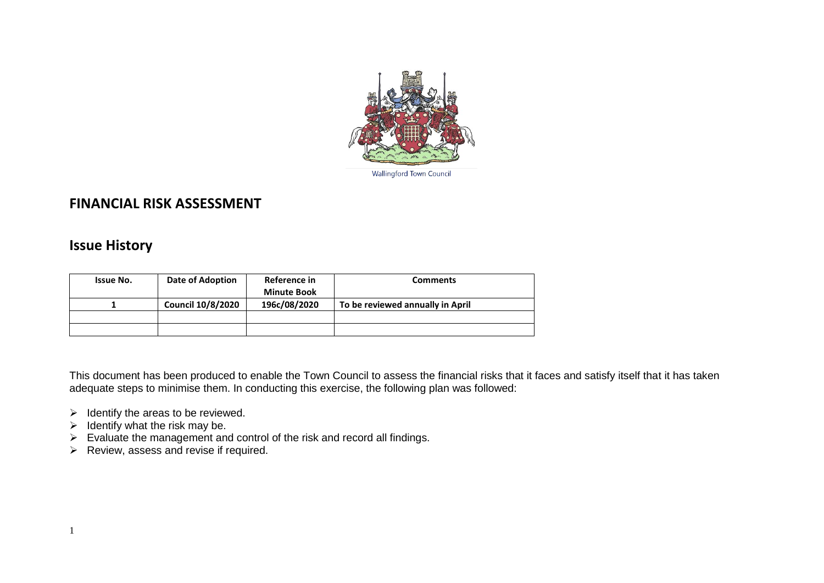

Wallingford Town Council

## **FINANCIAL RISK ASSESSMENT**

## **Issue History**

| <b>Issue No.</b> | Date of Adoption         | Reference in       | <b>Comments</b>                  |
|------------------|--------------------------|--------------------|----------------------------------|
|                  |                          | <b>Minute Book</b> |                                  |
|                  | <b>Council 10/8/2020</b> | 196c/08/2020       | To be reviewed annually in April |
|                  |                          |                    |                                  |
|                  |                          |                    |                                  |

This document has been produced to enable the Town Council to assess the financial risks that it faces and satisfy itself that it has taken adequate steps to minimise them. In conducting this exercise, the following plan was followed:

- $\triangleright$  Identify the areas to be reviewed.
- $\triangleright$  Identify what the risk may be.
- $\triangleright$  Evaluate the management and control of the risk and record all findings.
- $\triangleright$  Review, assess and revise if required.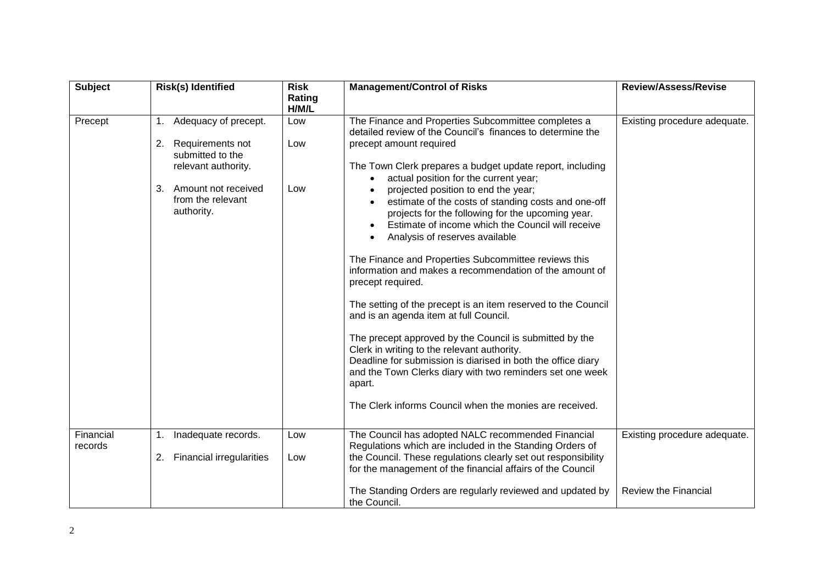| <b>Subject</b>       | <b>Risk(s) Identified</b>                                                                                                                                 | <b>Risk</b><br>Rating<br>H/M/L | <b>Management/Control of Risks</b>                                                                                                                                                                                                                                                                                                                                                                                                                                                                                                                                                                                                                                                                                                                                                                                                                                                                                                                                                                                                                          | <b>Review/Assess/Revise</b>                                 |
|----------------------|-----------------------------------------------------------------------------------------------------------------------------------------------------------|--------------------------------|-------------------------------------------------------------------------------------------------------------------------------------------------------------------------------------------------------------------------------------------------------------------------------------------------------------------------------------------------------------------------------------------------------------------------------------------------------------------------------------------------------------------------------------------------------------------------------------------------------------------------------------------------------------------------------------------------------------------------------------------------------------------------------------------------------------------------------------------------------------------------------------------------------------------------------------------------------------------------------------------------------------------------------------------------------------|-------------------------------------------------------------|
| Precept              | 1. Adequacy of precept.<br>2.<br>Requirements not<br>submitted to the<br>relevant authority.<br>3. Amount not received<br>from the relevant<br>authority. | Low<br>Low<br>Low              | The Finance and Properties Subcommittee completes a<br>detailed review of the Council's finances to determine the<br>precept amount required<br>The Town Clerk prepares a budget update report, including<br>actual position for the current year;<br>projected position to end the year;<br>estimate of the costs of standing costs and one-off<br>projects for the following for the upcoming year.<br>Estimate of income which the Council will receive<br>Analysis of reserves available<br>The Finance and Properties Subcommittee reviews this<br>information and makes a recommendation of the amount of<br>precept required.<br>The setting of the precept is an item reserved to the Council<br>and is an agenda item at full Council.<br>The precept approved by the Council is submitted by the<br>Clerk in writing to the relevant authority.<br>Deadline for submission is diarised in both the office diary<br>and the Town Clerks diary with two reminders set one week<br>apart.<br>The Clerk informs Council when the monies are received. | Existing procedure adequate.                                |
| Financial<br>records | Inadequate records.<br>1.<br><b>Financial irregularities</b><br>2.                                                                                        | Low<br>Low                     | The Council has adopted NALC recommended Financial<br>Regulations which are included in the Standing Orders of<br>the Council. These regulations clearly set out responsibility<br>for the management of the financial affairs of the Council<br>The Standing Orders are regularly reviewed and updated by<br>the Council.                                                                                                                                                                                                                                                                                                                                                                                                                                                                                                                                                                                                                                                                                                                                  | Existing procedure adequate.<br><b>Review the Financial</b> |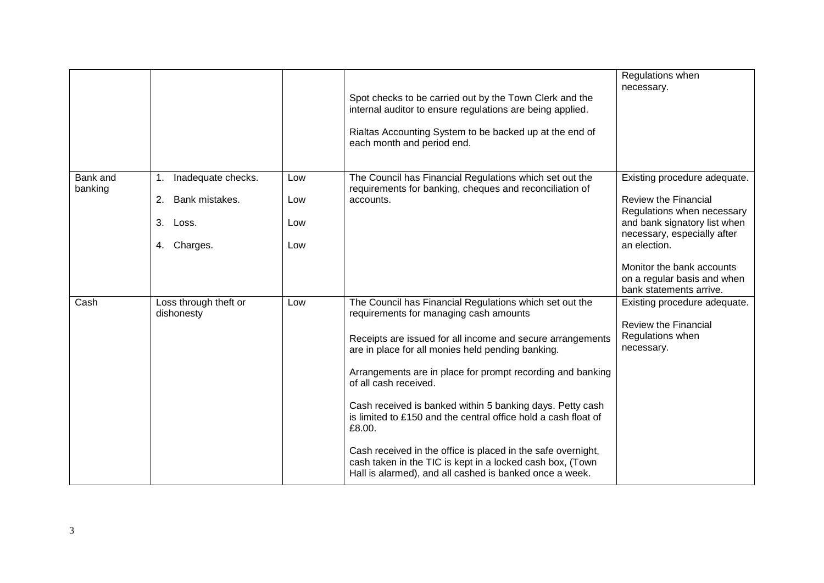|                     |                                                                          |                          | Spot checks to be carried out by the Town Clerk and the<br>internal auditor to ensure regulations are being applied.<br>Rialtas Accounting System to be backed up at the end of<br>each month and period end.                                                                                                                                                                                                                                                                                                                                                                                                                                | Regulations when<br>necessary.                                                                                                                                                                                                                                  |
|---------------------|--------------------------------------------------------------------------|--------------------------|----------------------------------------------------------------------------------------------------------------------------------------------------------------------------------------------------------------------------------------------------------------------------------------------------------------------------------------------------------------------------------------------------------------------------------------------------------------------------------------------------------------------------------------------------------------------------------------------------------------------------------------------|-----------------------------------------------------------------------------------------------------------------------------------------------------------------------------------------------------------------------------------------------------------------|
| Bank and<br>banking | 1. Inadequate checks.<br>Bank mistakes.<br>2.<br>3. Loss.<br>4. Charges. | Low<br>Low<br>Low<br>Low | The Council has Financial Regulations which set out the<br>requirements for banking, cheques and reconciliation of<br>accounts.                                                                                                                                                                                                                                                                                                                                                                                                                                                                                                              | Existing procedure adequate.<br><b>Review the Financial</b><br>Regulations when necessary<br>and bank signatory list when<br>necessary, especially after<br>an election.<br>Monitor the bank accounts<br>on a regular basis and when<br>bank statements arrive. |
| Cash                | Loss through theft or<br>dishonesty                                      | Low                      | The Council has Financial Regulations which set out the<br>requirements for managing cash amounts<br>Receipts are issued for all income and secure arrangements<br>are in place for all monies held pending banking.<br>Arrangements are in place for prompt recording and banking<br>of all cash received.<br>Cash received is banked within 5 banking days. Petty cash<br>is limited to £150 and the central office hold a cash float of<br>£8.00.<br>Cash received in the office is placed in the safe overnight,<br>cash taken in the TIC is kept in a locked cash box, (Town<br>Hall is alarmed), and all cashed is banked once a week. | Existing procedure adequate.<br><b>Review the Financial</b><br>Regulations when<br>necessary.                                                                                                                                                                   |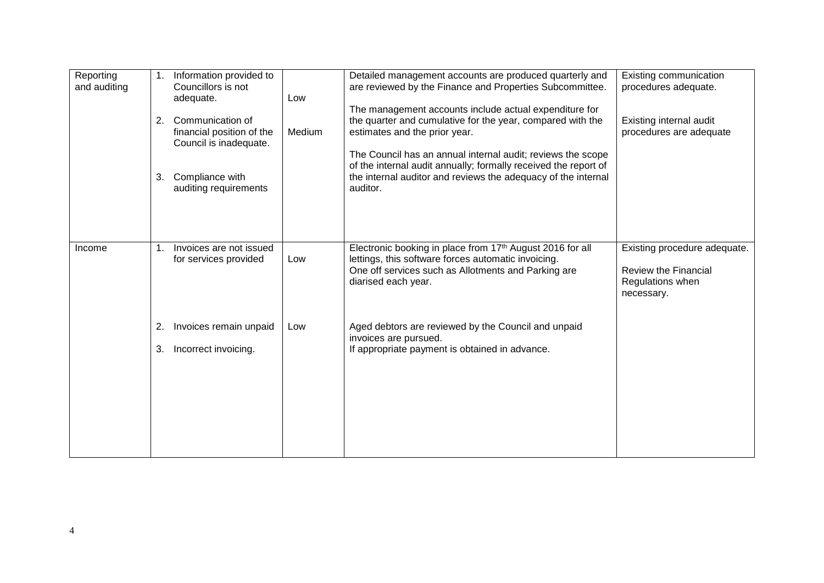| Reporting<br>and auditing | 1.<br>2. | Information provided to<br>Councillors is not<br>adequate.<br>Communication of<br>financial position of the<br>Council is inadequate. | Low<br>Medium | Detailed management accounts are produced quarterly and<br>are reviewed by the Finance and Properties Subcommittee.<br>The management accounts include actual expenditure for<br>the quarter and cumulative for the year, compared with the<br>estimates and the prior year.<br>The Council has an annual internal audit; reviews the scope<br>of the internal audit annually; formally received the report of | Existing communication<br>procedures adequate.<br>Existing internal audit<br>procedures are adequate |
|---------------------------|----------|---------------------------------------------------------------------------------------------------------------------------------------|---------------|----------------------------------------------------------------------------------------------------------------------------------------------------------------------------------------------------------------------------------------------------------------------------------------------------------------------------------------------------------------------------------------------------------------|------------------------------------------------------------------------------------------------------|
|                           | 3.       | Compliance with<br>auditing requirements                                                                                              |               | the internal auditor and reviews the adequacy of the internal<br>auditor.                                                                                                                                                                                                                                                                                                                                      |                                                                                                      |
| Income                    | 1.       | Invoices are not issued<br>for services provided                                                                                      | Low           | Electronic booking in place from 17th August 2016 for all<br>lettings, this software forces automatic invoicing.<br>One off services such as Allotments and Parking are<br>diarised each year.                                                                                                                                                                                                                 | Existing procedure adequate.<br><b>Review the Financial</b><br>Regulations when<br>necessary.        |
|                           | 2.<br>3. | Invoices remain unpaid<br>Incorrect invoicing.                                                                                        | Low           | Aged debtors are reviewed by the Council and unpaid<br>invoices are pursued.<br>If appropriate payment is obtained in advance.                                                                                                                                                                                                                                                                                 |                                                                                                      |
|                           |          |                                                                                                                                       |               |                                                                                                                                                                                                                                                                                                                                                                                                                |                                                                                                      |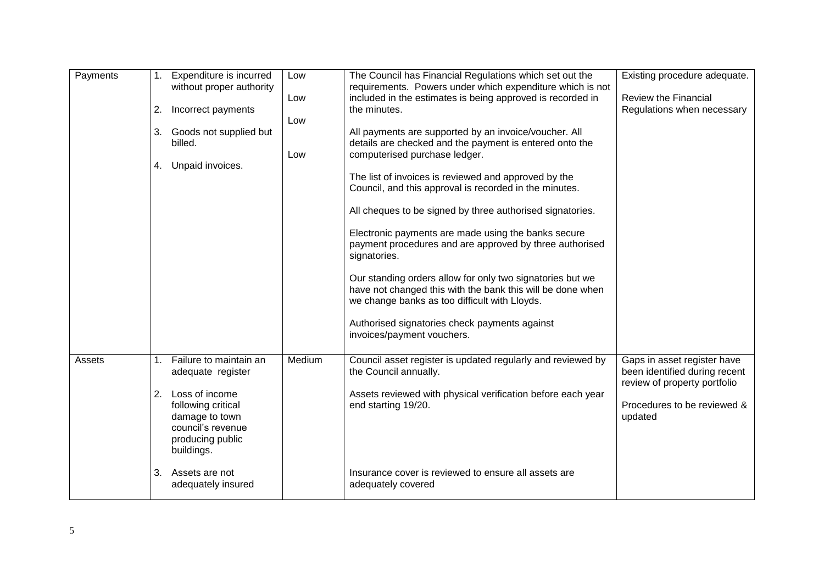| Payments | 2.<br>3.<br>4. | 1. Expenditure is incurred<br>without proper authority<br>Incorrect payments<br>Goods not supplied but<br>billed.<br>Unpaid invoices.                        | Low<br>Low<br>Low<br>Low | The Council has Financial Regulations which set out the<br>requirements. Powers under which expenditure which is not<br>included in the estimates is being approved is recorded in<br>the minutes.<br>All payments are supported by an invoice/voucher. All<br>details are checked and the payment is entered onto the<br>computerised purchase ledger.<br>The list of invoices is reviewed and approved by the<br>Council, and this approval is recorded in the minutes.<br>All cheques to be signed by three authorised signatories.<br>Electronic payments are made using the banks secure<br>payment procedures and are approved by three authorised<br>signatories.<br>Our standing orders allow for only two signatories but we<br>have not changed this with the bank this will be done when<br>we change banks as too difficult with Lloyds.<br>Authorised signatories check payments against | Existing procedure adequate.<br><b>Review the Financial</b><br>Regulations when necessary                                              |
|----------|----------------|--------------------------------------------------------------------------------------------------------------------------------------------------------------|--------------------------|-------------------------------------------------------------------------------------------------------------------------------------------------------------------------------------------------------------------------------------------------------------------------------------------------------------------------------------------------------------------------------------------------------------------------------------------------------------------------------------------------------------------------------------------------------------------------------------------------------------------------------------------------------------------------------------------------------------------------------------------------------------------------------------------------------------------------------------------------------------------------------------------------------|----------------------------------------------------------------------------------------------------------------------------------------|
|          |                |                                                                                                                                                              |                          | invoices/payment vouchers.                                                                                                                                                                                                                                                                                                                                                                                                                                                                                                                                                                                                                                                                                                                                                                                                                                                                            |                                                                                                                                        |
| Assets   | 1.<br>2.       | Failure to maintain an<br>adequate register<br>Loss of income<br>following critical<br>damage to town<br>council's revenue<br>producing public<br>buildings. | Medium                   | Council asset register is updated regularly and reviewed by<br>the Council annually.<br>Assets reviewed with physical verification before each year<br>end starting 19/20.                                                                                                                                                                                                                                                                                                                                                                                                                                                                                                                                                                                                                                                                                                                            | Gaps in asset register have<br>been identified during recent<br>review of property portfolio<br>Procedures to be reviewed &<br>updated |
|          | 3.             | Assets are not<br>adequately insured                                                                                                                         |                          | Insurance cover is reviewed to ensure all assets are<br>adequately covered                                                                                                                                                                                                                                                                                                                                                                                                                                                                                                                                                                                                                                                                                                                                                                                                                            |                                                                                                                                        |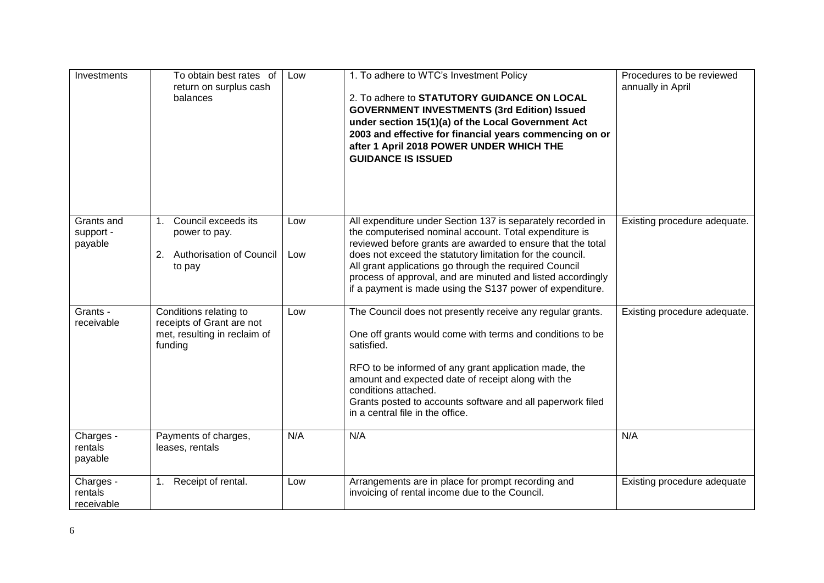| Investments                        | To obtain best rates of<br>return on surplus cash<br>balances                                      | Low        | 1. To adhere to WTC's Investment Policy<br>2. To adhere to STATUTORY GUIDANCE ON LOCAL<br><b>GOVERNMENT INVESTMENTS (3rd Edition) Issued</b><br>under section 15(1)(a) of the Local Government Act<br>2003 and effective for financial years commencing on or<br>after 1 April 2018 POWER UNDER WHICH THE<br><b>GUIDANCE IS ISSUED</b>                                                                                                  | Procedures to be reviewed<br>annually in April |
|------------------------------------|----------------------------------------------------------------------------------------------------|------------|-----------------------------------------------------------------------------------------------------------------------------------------------------------------------------------------------------------------------------------------------------------------------------------------------------------------------------------------------------------------------------------------------------------------------------------------|------------------------------------------------|
| Grants and<br>support -<br>payable | Council exceeds its<br>1 <sup>1</sup><br>power to pay.<br>Authorisation of Council<br>2.<br>to pay | Low<br>Low | All expenditure under Section 137 is separately recorded in<br>the computerised nominal account. Total expenditure is<br>reviewed before grants are awarded to ensure that the total<br>does not exceed the statutory limitation for the council.<br>All grant applications go through the required Council<br>process of approval, and are minuted and listed accordingly<br>if a payment is made using the S137 power of expenditure. | Existing procedure adequate.                   |
| Grants -<br>receivable             | Conditions relating to<br>receipts of Grant are not<br>met, resulting in reclaim of<br>funding     | Low        | The Council does not presently receive any regular grants.<br>One off grants would come with terms and conditions to be<br>satisfied.<br>RFO to be informed of any grant application made, the<br>amount and expected date of receipt along with the<br>conditions attached.<br>Grants posted to accounts software and all paperwork filed<br>in a central file in the office.                                                          | Existing procedure adequate.                   |
| Charges -<br>rentals<br>payable    | Payments of charges,<br>leases, rentals                                                            | N/A        | N/A                                                                                                                                                                                                                                                                                                                                                                                                                                     | N/A                                            |
| Charges -<br>rentals<br>receivable | Receipt of rental.<br>1.                                                                           | Low        | Arrangements are in place for prompt recording and<br>invoicing of rental income due to the Council.                                                                                                                                                                                                                                                                                                                                    | Existing procedure adequate                    |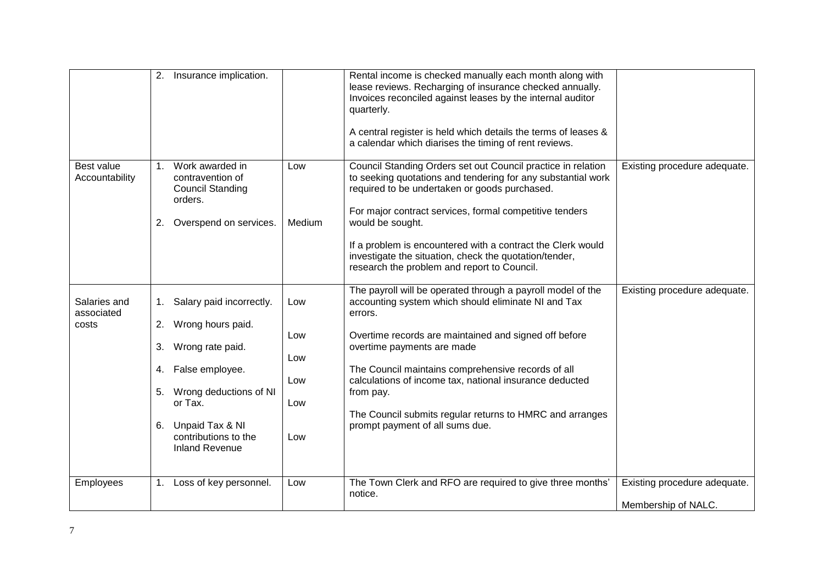|                                     | 2.                   | Insurance implication.                                                                                                                                                                              |                                        | Rental income is checked manually each month along with<br>lease reviews. Recharging of insurance checked annually.<br>Invoices reconciled against leases by the internal auditor<br>quarterly.<br>A central register is held which details the terms of leases &<br>a calendar which diarises the timing of rent reviews.                                                                                                                        |                                                     |
|-------------------------------------|----------------------|-----------------------------------------------------------------------------------------------------------------------------------------------------------------------------------------------------|----------------------------------------|---------------------------------------------------------------------------------------------------------------------------------------------------------------------------------------------------------------------------------------------------------------------------------------------------------------------------------------------------------------------------------------------------------------------------------------------------|-----------------------------------------------------|
| Best value<br>Accountability        | 1 <sup>1</sup><br>2. | Work awarded in<br>contravention of<br><b>Council Standing</b><br>orders.<br>Overspend on services.                                                                                                 | Low<br>Medium                          | Council Standing Orders set out Council practice in relation<br>to seeking quotations and tendering for any substantial work<br>required to be undertaken or goods purchased.<br>For major contract services, formal competitive tenders<br>would be sought.<br>If a problem is encountered with a contract the Clerk would<br>investigate the situation, check the quotation/tender,<br>research the problem and report to Council.              | Existing procedure adequate.                        |
| Salaries and<br>associated<br>costs | 2.<br>3.<br>5.<br>6. | 1. Salary paid incorrectly.<br>Wrong hours paid.<br>Wrong rate paid.<br>4. False employee.<br>Wrong deductions of NI<br>or Tax.<br>Unpaid Tax & NI<br>contributions to the<br><b>Inland Revenue</b> | Low<br>Low<br>Low<br>Low<br>Low<br>Low | The payroll will be operated through a payroll model of the<br>accounting system which should eliminate NI and Tax<br>errors.<br>Overtime records are maintained and signed off before<br>overtime payments are made<br>The Council maintains comprehensive records of all<br>calculations of income tax, national insurance deducted<br>from pay.<br>The Council submits regular returns to HMRC and arranges<br>prompt payment of all sums due. | Existing procedure adequate.                        |
| Employees                           | 1.                   | Loss of key personnel.                                                                                                                                                                              | Low                                    | The Town Clerk and RFO are required to give three months'<br>notice.                                                                                                                                                                                                                                                                                                                                                                              | Existing procedure adequate.<br>Membership of NALC. |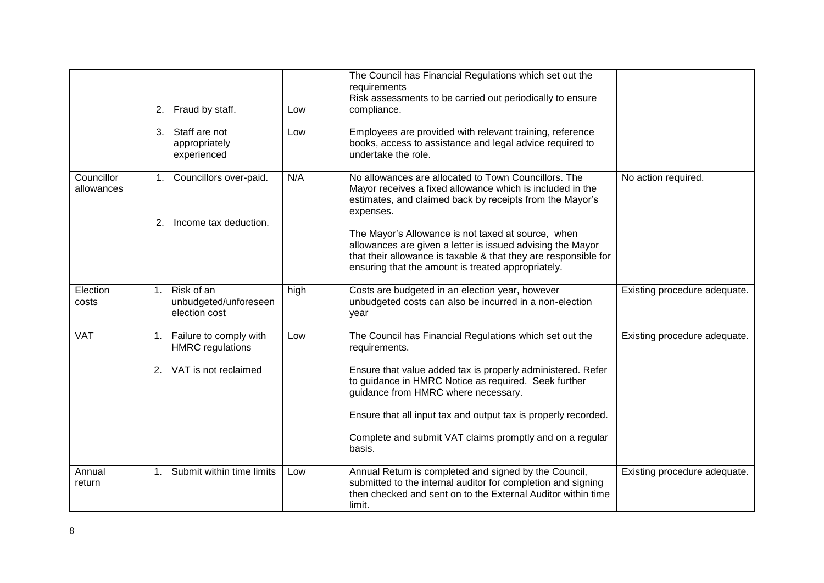|                          | 2.       | Fraud by staff.                                                           | Low  | The Council has Financial Regulations which set out the<br>requirements<br>Risk assessments to be carried out periodically to ensure<br>compliance.                                                                                                                                                                                                                            |                              |
|--------------------------|----------|---------------------------------------------------------------------------|------|--------------------------------------------------------------------------------------------------------------------------------------------------------------------------------------------------------------------------------------------------------------------------------------------------------------------------------------------------------------------------------|------------------------------|
|                          |          | 3. Staff are not<br>appropriately<br>experienced                          | Low  | Employees are provided with relevant training, reference<br>books, access to assistance and legal advice required to<br>undertake the role.                                                                                                                                                                                                                                    |                              |
| Councillor<br>allowances | 2.       | 1. Councillors over-paid.<br>Income tax deduction.                        | N/A  | No allowances are allocated to Town Councillors. The<br>Mayor receives a fixed allowance which is included in the<br>estimates, and claimed back by receipts from the Mayor's<br>expenses.                                                                                                                                                                                     | No action required.          |
|                          |          |                                                                           |      | The Mayor's Allowance is not taxed at source, when<br>allowances are given a letter is issued advising the Mayor<br>that their allowance is taxable & that they are responsible for<br>ensuring that the amount is treated appropriately.                                                                                                                                      |                              |
| Election<br>costs        |          | 1. Risk of an<br>unbudgeted/unforeseen<br>election cost                   | high | Costs are budgeted in an election year, however<br>unbudgeted costs can also be incurred in a non-election<br>year                                                                                                                                                                                                                                                             | Existing procedure adequate. |
| <b>VAT</b>               | 1.<br>2. | Failure to comply with<br><b>HMRC</b> regulations<br>VAT is not reclaimed | Low  | The Council has Financial Regulations which set out the<br>requirements.<br>Ensure that value added tax is properly administered. Refer<br>to guidance in HMRC Notice as required. Seek further<br>guidance from HMRC where necessary.<br>Ensure that all input tax and output tax is properly recorded.<br>Complete and submit VAT claims promptly and on a regular<br>basis. | Existing procedure adequate. |
| Annual<br>return         |          | Submit within time limits                                                 | Low  | Annual Return is completed and signed by the Council,<br>submitted to the internal auditor for completion and signing<br>then checked and sent on to the External Auditor within time<br>limit.                                                                                                                                                                                | Existing procedure adequate. |